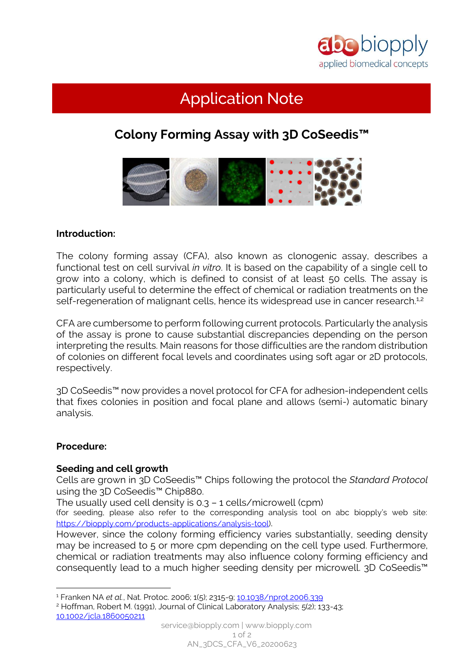

# Application Note

# **Colony Forming Assay with 3D CoSeedis™**



## **Introduction:**

The colony forming assay (CFA), also known as clonogenic assay, describes a functional test on cell survival *in vitro*. It is based on the capability of a single cell to grow into a colony, which is defined to consist of at least 50 cells. The assay is particularly useful to determine the effect of chemical or radiation treatments on the self-regeneration of malignant cells, hence its widespread use in cancer research.<sup>1,2</sup>

CFA are cumbersome to perform following current protocols. Particularly the analysis of the assay is prone to cause substantial discrepancies depending on the person interpreting the results. Main reasons for those difficulties are the random distribution of colonies on different focal levels and coordinates using soft agar or 2D protocols, respectively.

3D CoSeedis™ now provides a novel protocol for CFA for adhesion-independent cells that fixes colonies in position and focal plane and allows (semi-) automatic binary analysis.

#### **Procedure:**

 $\overline{a}$ 

#### **Seeding and cell growth**

Cells are grown in 3D CoSeedis™ Chips following the protocol the *Standard Protocol* using the 3D CoSeedis™ Chip880.

The usually used cell density is 0.3 – 1 cells/microwell (cpm)

(for seeding, please also refer to the corresponding analysis tool on abc biopply's web site: [https://biopply.com/products-applications/analysis-tool\)](https://biopply.com/products-applications/analysis-tool).

However, since the colony forming efficiency varies substantially, seeding density may be increased to 5 or more cpm depending on the cell type used. Furthermore, chemical or radiation treatments may also influence colony forming efficiency and consequently lead to a much higher seeding density per microwell. 3D CoSeedis™

<sup>1</sup> Franken NA *et al.*, Nat. Protoc. 2006; 1(5); 2315-9; [10.1038/nprot.2006.339](https://doi.org/10.1038/nprot.2006.339)

<sup>2</sup> Hoffman, Robert M. (1991), Journal of Clinical Laboratory Analysis; 5(2); 133-43; [10.1002/jcla.1860050211](https://doi.org/10.1002/jcla.1860050211)